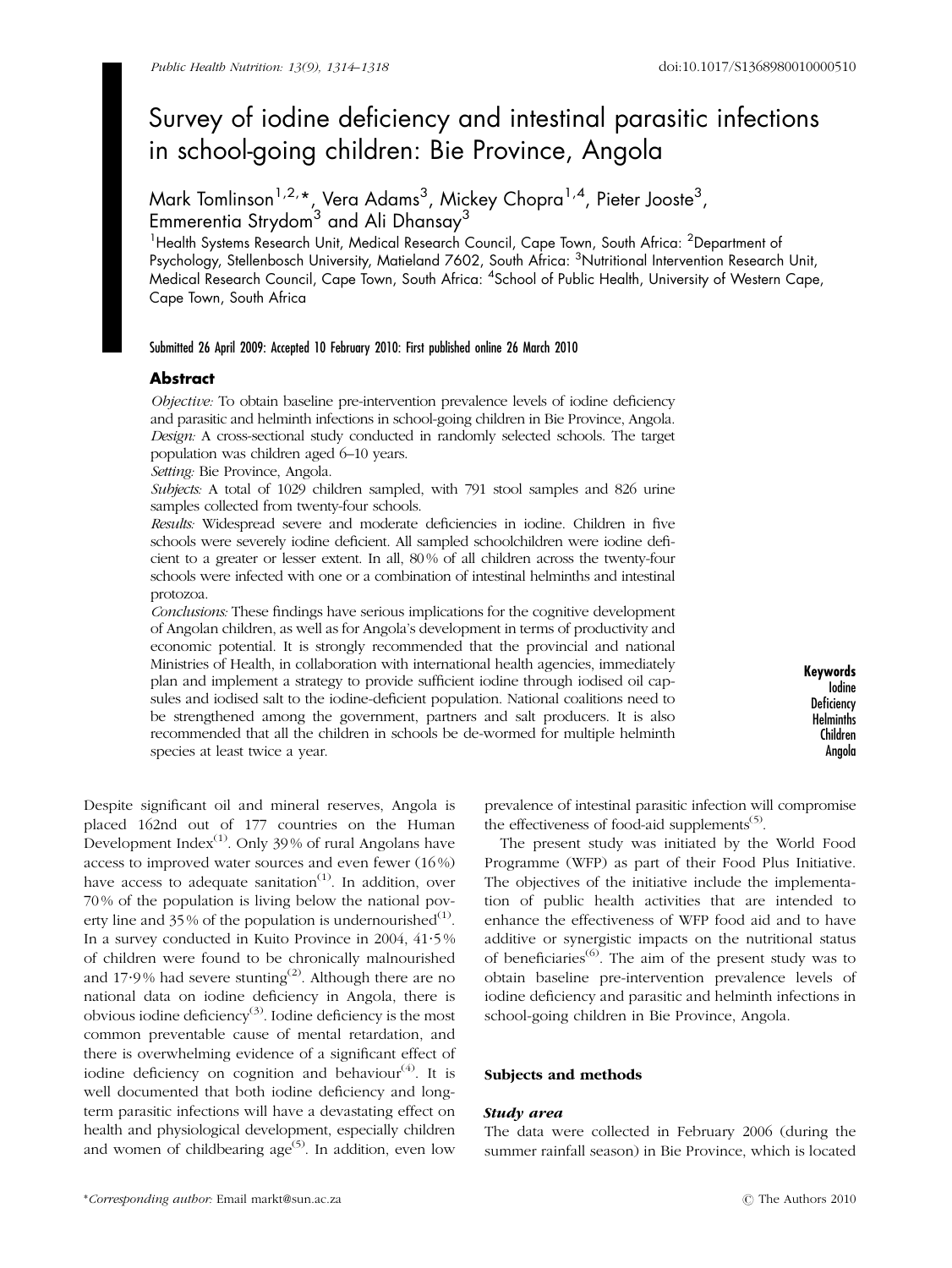# Survey of iodine deficiency and intestinal parasitic infections in school-going children: Bie Province, Angola

Mark Tomlinson $^{1,2,\ast}$ , Vera Adams $^3$ , Mickey Chopra $^{1,4}$ , Pieter Jooste $^3$ , Emmerentia Strydom<sup>3</sup> and Ali Dhansay<sup>3</sup>

<sup>1</sup>Health Systems Research Unit, Medical Research Council, Cape Town, South Africa: <sup>2</sup>Department of Psychology, Stellenbosch University, Matieland 7602, South Africa: <sup>3</sup>Nutritional Intervention Research Unit, Medical Research Council, Cape Town, South Africa: <sup>4</sup> School of Public Health, University of Western Cape, Cape Town, South Africa

# Submitted 26 April 2009: Accepted 10 February 2010: First published online 26 March 2010

# Abstract

Objective: To obtain baseline pre-intervention prevalence levels of iodine deficiency and parasitic and helminth infections in school-going children in Bie Province, Angola. Design: A cross-sectional study conducted in randomly selected schools. The target population was children aged 6–10 years.

Setting: Bie Province, Angola.

Subjects: A total of 1029 children sampled, with 791 stool samples and 826 urine samples collected from twenty-four schools.

Results: Widespread severe and moderate deficiencies in iodine. Children in five schools were severely iodine deficient. All sampled schoolchildren were iodine deficient to a greater or lesser extent. In all, 80 % of all children across the twenty-four schools were infected with one or a combination of intestinal helminths and intestinal protozoa.

Conclusions: These findings have serious implications for the cognitive development of Angolan children, as well as for Angola's development in terms of productivity and economic potential. It is strongly recommended that the provincial and national Ministries of Health, in collaboration with international health agencies, immediately plan and implement a strategy to provide sufficient iodine through iodised oil capsules and iodised salt to the iodine-deficient population. National coalitions need to be strengthened among the government, partners and salt producers. It is also recommended that all the children in schools be de-wormed for multiple helminth species at least twice a year.

Keywords Iodine **Deficiency Helminths** Children Angola

Despite significant oil and mineral reserves, Angola is placed 162nd out of 177 countries on the Human Development Index $^{(1)}$ . Only 39% of rural Angolans have access to improved water sources and even fewer (16 %) have access to adequate sanitation<sup> $(1)$ </sup>. In addition, over 70 % of the population is living below the national poverty line and 35% of the population is undernourished $^{(1)}$ . In a survey conducted in Kuito Province in 2004, 41?5 % of children were found to be chronically malnourished and 17.9% had severe stunting<sup>(2)</sup>. Although there are no national data on iodine deficiency in Angola, there is obvious iodine deficiency(3). Iodine deficiency is the most common preventable cause of mental retardation, and there is overwhelming evidence of a significant effect of iodine deficiency on cognition and behaviour<sup> $(4)$ </sup>. It is well documented that both iodine deficiency and longterm parasitic infections will have a devastating effect on health and physiological development, especially children and women of childbearing  $age^{(5)}$ . In addition, even low

prevalence of intestinal parasitic infection will compromise the effectiveness of food-aid supplements<sup> $(5)$ </sup>.

The present study was initiated by the World Food Programme (WFP) as part of their Food Plus Initiative. The objectives of the initiative include the implementation of public health activities that are intended to enhance the effectiveness of WFP food aid and to have additive or synergistic impacts on the nutritional status of beneficiaries<sup> $(6)$ </sup>. The aim of the present study was to obtain baseline pre-intervention prevalence levels of iodine deficiency and parasitic and helminth infections in school-going children in Bie Province, Angola.

#### Subjects and methods

#### Study area

The data were collected in February 2006 (during the summer rainfall season) in Bie Province, which is located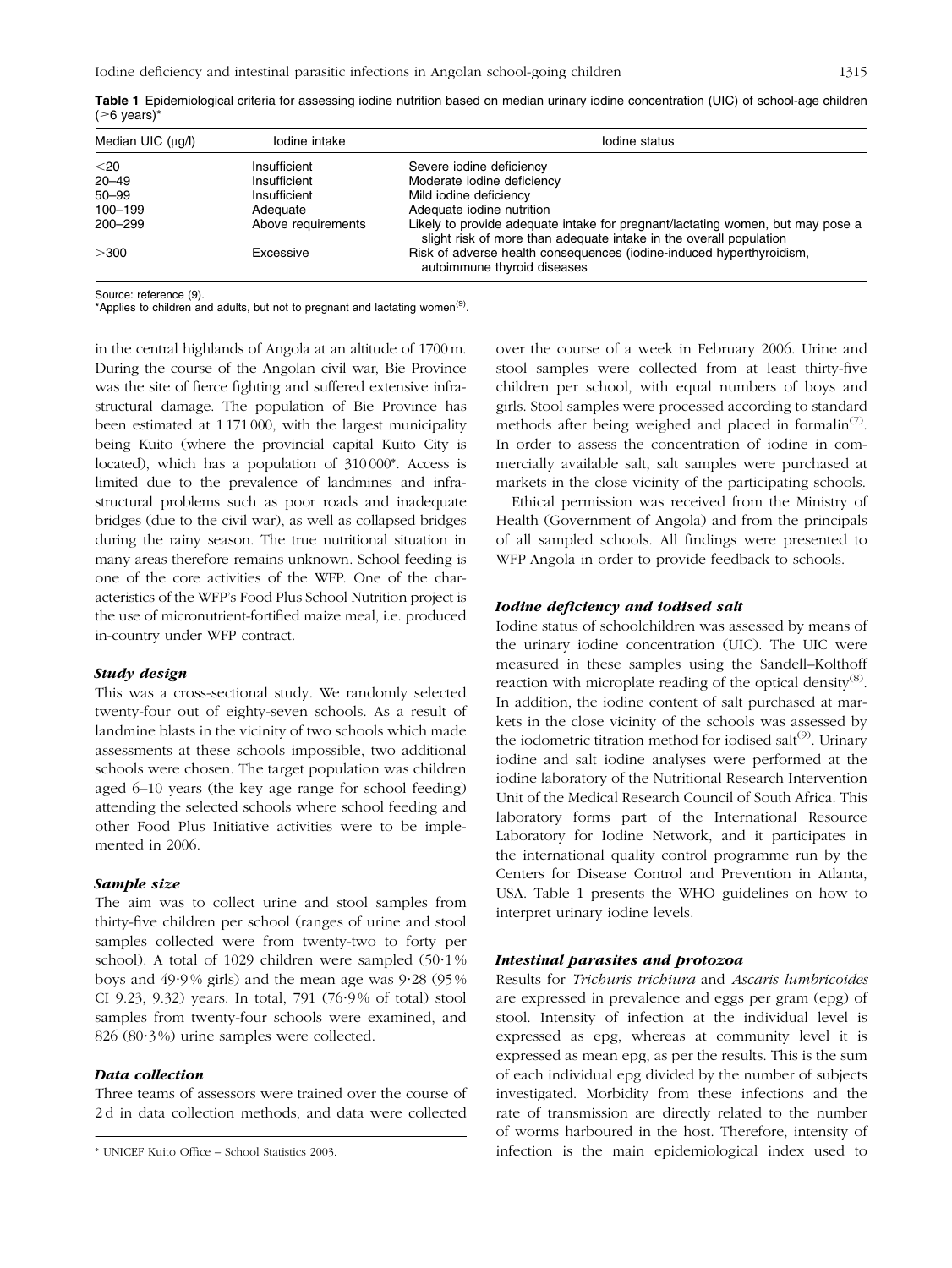| Median UIC $(\mu q/l)$ | lodine intake      | Iodine status                                                                                                                                        |
|------------------------|--------------------|------------------------------------------------------------------------------------------------------------------------------------------------------|
| $<$ 20                 | Insufficient       | Severe jodine deficiency                                                                                                                             |
| $20 - 49$              | Insufficient       | Moderate iodine deficiency                                                                                                                           |
| $50 - 99$              | Insufficient       | Mild iodine deficiency                                                                                                                               |
| 100-199                | Adequate           | Adequate iodine nutrition                                                                                                                            |
| 200-299                | Above requirements | Likely to provide adequate intake for pregnant/lactating women, but may pose a<br>slight risk of more than adequate intake in the overall population |
| >300                   | Excessive          | Risk of adverse health consequences (iodine-induced hyperthyroidism,<br>autoimmune thyroid diseases                                                  |

Table 1 Epidemiological criteria for assessing iodine nutrition based on median urinary iodine concentration (UIC) of school-age children  $(≥6$  years)\*

Source: reference (9).

\*Applies to children and adults, but not to pregnant and lactating women<sup>(9)</sup>.

in the central highlands of Angola at an altitude of 1700 m. During the course of the Angolan civil war, Bie Province was the site of fierce fighting and suffered extensive infrastructural damage. The population of Bie Province has been estimated at 1 171 000, with the largest municipality being Kuito (where the provincial capital Kuito City is located), which has a population of 310 000\*. Access is limited due to the prevalence of landmines and infrastructural problems such as poor roads and inadequate bridges (due to the civil war), as well as collapsed bridges during the rainy season. The true nutritional situation in many areas therefore remains unknown. School feeding is one of the core activities of the WFP. One of the characteristics of the WFP's Food Plus School Nutrition project is the use of micronutrient-fortified maize meal, i.e. produced in-country under WFP contract.

#### Study design

This was a cross-sectional study. We randomly selected twenty-four out of eighty-seven schools. As a result of landmine blasts in the vicinity of two schools which made assessments at these schools impossible, two additional schools were chosen. The target population was children aged 6–10 years (the key age range for school feeding) attending the selected schools where school feeding and other Food Plus Initiative activities were to be implemented in 2006.

#### Sample size

The aim was to collect urine and stool samples from thirty-five children per school (ranges of urine and stool samples collected were from twenty-two to forty per school). A total of 1029 children were sampled (50.1% boys and  $49.9\%$  girls) and the mean age was  $9.28$  ( $95\%$ ) CI 9.23, 9.32) years. In total, 791 (76?9 % of total) stool samples from twenty-four schools were examined, and 826 (80?3 %) urine samples were collected.

#### Data collection

Three teams of assessors were trained over the course of 2 d in data collection methods, and data were collected over the course of a week in February 2006. Urine and stool samples were collected from at least thirty-five children per school, with equal numbers of boys and girls. Stool samples were processed according to standard methods after being weighed and placed in formalin<sup>(7)</sup>. In order to assess the concentration of iodine in commercially available salt, salt samples were purchased at markets in the close vicinity of the participating schools.

Ethical permission was received from the Ministry of Health (Government of Angola) and from the principals of all sampled schools. All findings were presented to WFP Angola in order to provide feedback to schools.

#### Iodine deficiency and iodised salt

Iodine status of schoolchildren was assessed by means of the urinary iodine concentration (UIC). The UIC were measured in these samples using the Sandell–Kolthoff reaction with microplate reading of the optical density<sup>(8)</sup>. In addition, the iodine content of salt purchased at markets in the close vicinity of the schools was assessed by the iodometric titration method for iodised salt<sup>(9)</sup>. Urinary iodine and salt iodine analyses were performed at the iodine laboratory of the Nutritional Research Intervention Unit of the Medical Research Council of South Africa. This laboratory forms part of the International Resource Laboratory for Iodine Network, and it participates in the international quality control programme run by the Centers for Disease Control and Prevention in Atlanta, USA. Table 1 presents the WHO guidelines on how to interpret urinary iodine levels.

# Intestinal parasites and protozoa

Results for Trichuris trichiura and Ascaris lumbricoides are expressed in prevalence and eggs per gram (epg) of stool. Intensity of infection at the individual level is expressed as epg, whereas at community level it is expressed as mean epg, as per the results. This is the sum of each individual epg divided by the number of subjects investigated. Morbidity from these infections and the rate of transmission are directly related to the number of worms harboured in the host. Therefore, intensity of infection is the main epidemiological index used to

<sup>\*</sup> UNICEF Kuito Office – School Statistics 2003.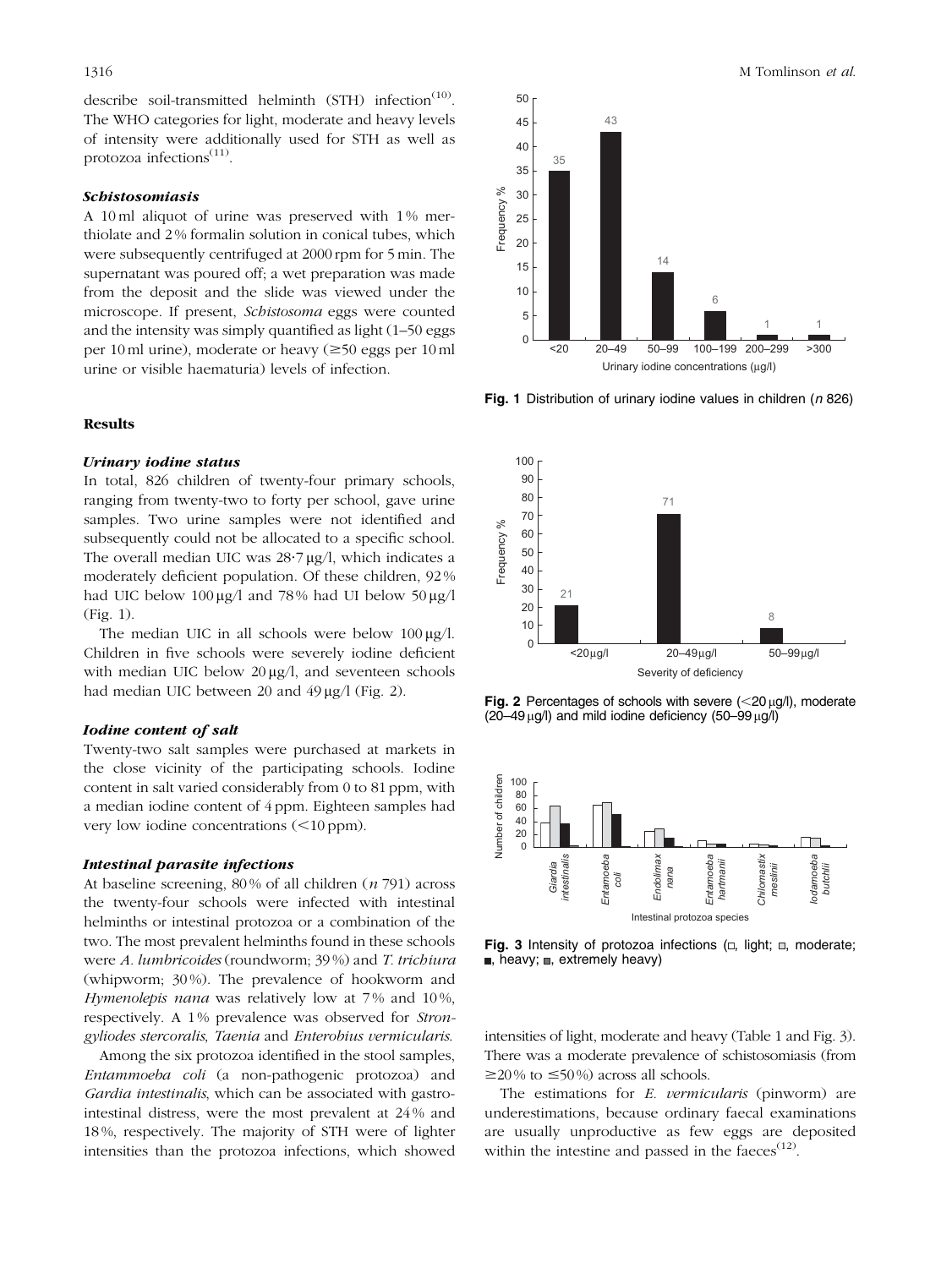# Schistosomiasis

protozoa infections $(11)$ .

A 10 ml aliquot of urine was preserved with 1 % merthiolate and 2 % formalin solution in conical tubes, which were subsequently centrifuged at 2000 rpm for 5 min. The supernatant was poured off; a wet preparation was made from the deposit and the slide was viewed under the microscope. If present, Schistosoma eggs were counted and the intensity was simply quantified as light (1–50 eggs per 10 ml urine), moderate or heavy  $(\geq 50 \text{ eggs per } 10 \text{ ml})$ urine or visible haematuria) levels of infection.

describe soil-transmitted helminth (STH) infection $(10)$ . The WHO categories for light, moderate and heavy levels of intensity were additionally used for STH as well as

### Results

# Urinary iodine status

In total, 826 children of twenty-four primary schools, ranging from twenty-two to forty per school, gave urine samples. Two urine samples were not identified and subsequently could not be allocated to a specific school. The overall median UIC was  $28.7 \mu g/l$ , which indicates a moderately deficient population. Of these children, 92 % had UIC below 100  $\mu$ g/l and 78% had UI below 50  $\mu$ g/l (Fig. 1).

The median UIC in all schools were below  $100 \mu g/l$ . Children in five schools were severely iodine deficient with median UIC below 20 µg/l, and seventeen schools had median UIC between 20 and  $49 \mu g/l$  (Fig. 2).

#### Iodine content of salt

Twenty-two salt samples were purchased at markets in the close vicinity of the participating schools. Iodine content in salt varied considerably from 0 to 81 ppm, with a median iodine content of 4 ppm. Eighteen samples had very low iodine concentrations  $(<10$  ppm).

#### Intestinal parasite infections

At baseline screening,  $80\%$  of all children  $(n 791)$  across the twenty-four schools were infected with intestinal helminths or intestinal protozoa or a combination of the two. The most prevalent helminths found in these schools were A. lumbricoides (roundworm; 39 %) and T. trichiura (whipworm; 30 %). The prevalence of hookworm and Hymenolepis nana was relatively low at 7% and 10%, respectively. A 1% prevalence was observed for *Stron*gyliodes stercoralis, Taenia and Enterobius vermicularis.

Among the six protozoa identified in the stool samples, Entammoeba coli (a non-pathogenic protozoa) and Gardia intestinalis, which can be associated with gastrointestinal distress, were the most prevalent at 24 % and 18 %, respectively. The majority of STH were of lighter intensities than the protozoa infections, which showed



Fig. 1 Distribution of urinary iodine values in children (n 826)



Fig. 2 Percentages of schools with severe  $(<20 \mu g/l$ ), moderate (20–49  $\mu$ g/l) and mild iodine deficiency (50–99  $\mu$ g/l)



Fig. 3 Intensity of protozoa infections  $(n, light; m, moderate;$  $\blacksquare$ , heavy;  $\blacksquare$ , extremely heavy)

intensities of light, moderate and heavy (Table 1 and Fig. 3). There was a moderate prevalence of schistosomiasis (from  $\geq$ 20% to  $\leq$ 50%) across all schools.

The estimations for *E. vermicularis* (pinworm) are underestimations, because ordinary faecal examinations are usually unproductive as few eggs are deposited within the intestine and passed in the faeces $(12)$ .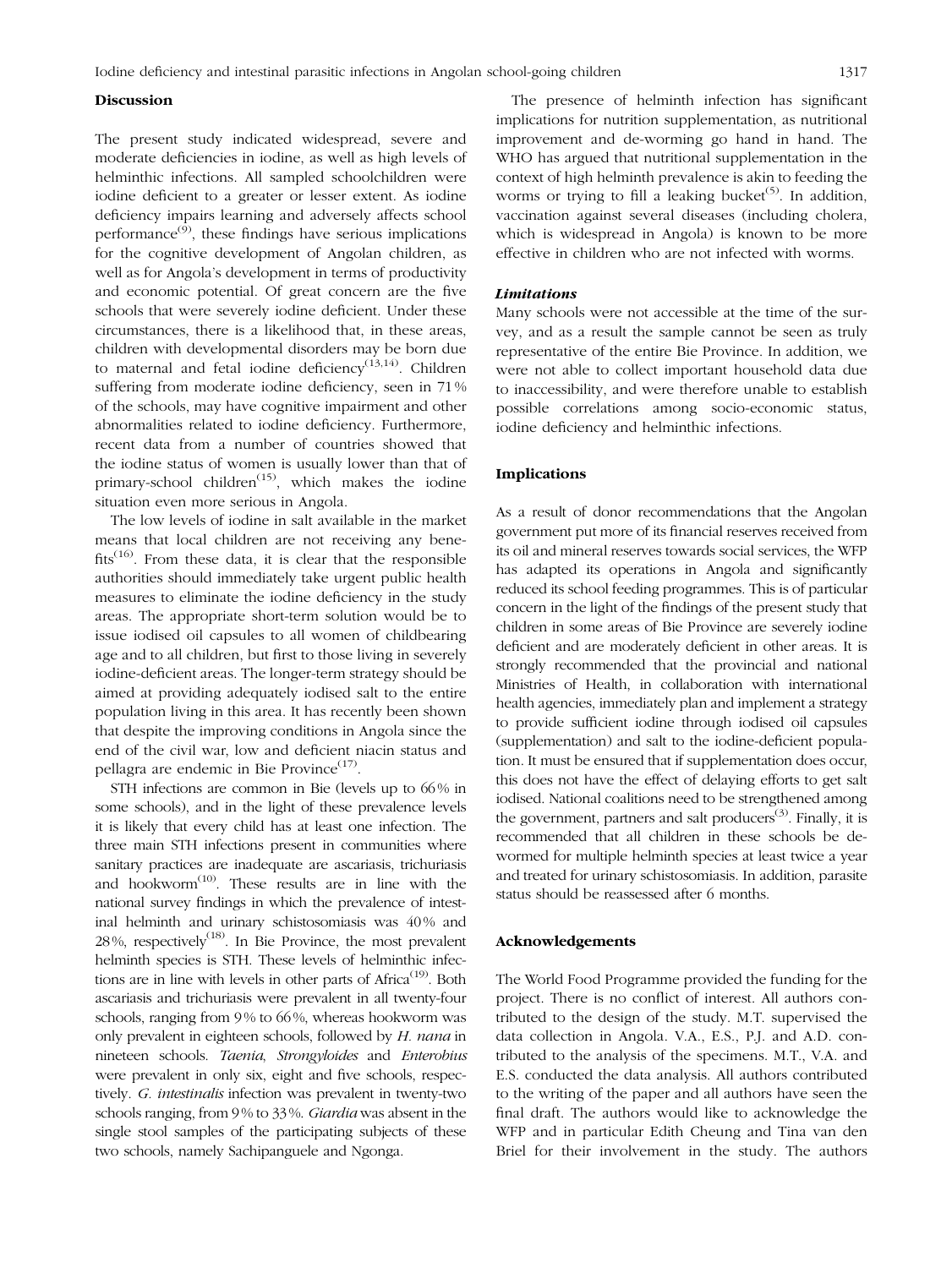#### **Discussion**

The present study indicated widespread, severe and moderate deficiencies in iodine, as well as high levels of helminthic infections. All sampled schoolchildren were iodine deficient to a greater or lesser extent. As iodine deficiency impairs learning and adversely affects school performance<sup>(9)</sup>, these findings have serious implications for the cognitive development of Angolan children, as well as for Angola's development in terms of productivity and economic potential. Of great concern are the five schools that were severely iodine deficient. Under these circumstances, there is a likelihood that, in these areas, children with developmental disorders may be born due to maternal and fetal iodine deficiency<sup>(13,14)</sup>. Children suffering from moderate iodine deficiency, seen in 71 % of the schools, may have cognitive impairment and other abnormalities related to iodine deficiency. Furthermore, recent data from a number of countries showed that the iodine status of women is usually lower than that of primary-school children<sup>(15)</sup>, which makes the iodine situation even more serious in Angola.

The low levels of iodine in salt available in the market means that local children are not receiving any bene $fits<sup>(16)</sup>$ . From these data, it is clear that the responsible authorities should immediately take urgent public health measures to eliminate the iodine deficiency in the study areas. The appropriate short-term solution would be to issue iodised oil capsules to all women of childbearing age and to all children, but first to those living in severely iodine-deficient areas. The longer-term strategy should be aimed at providing adequately iodised salt to the entire population living in this area. It has recently been shown that despite the improving conditions in Angola since the end of the civil war, low and deficient niacin status and pellagra are endemic in Bie Province $(17)$ .

STH infections are common in Bie (levels up to 66 % in some schools), and in the light of these prevalence levels it is likely that every child has at least one infection. The three main STH infections present in communities where sanitary practices are inadequate are ascariasis, trichuriasis and hookworm<sup> $(10)$ </sup>. These results are in line with the national survey findings in which the prevalence of intestinal helminth and urinary schistosomiasis was 40 % and 28%, respectively<sup>(18)</sup>. In Bie Province, the most prevalent helminth species is STH. These levels of helminthic infections are in line with levels in other parts of Africa<sup>(19)</sup>. Both ascariasis and trichuriasis were prevalent in all twenty-four schools, ranging from 9 % to 66 %, whereas hookworm was only prevalent in eighteen schools, followed by H. nana in nineteen schools. Taenia, Strongyloides and Enterobius were prevalent in only six, eight and five schools, respectively. G. intestinalis infection was prevalent in twenty-two schools ranging, from 9 % to 33 %. Giardia was absent in the single stool samples of the participating subjects of these two schools, namely Sachipanguele and Ngonga.

The presence of helminth infection has significant implications for nutrition supplementation, as nutritional improvement and de-worming go hand in hand. The WHO has argued that nutritional supplementation in the context of high helminth prevalence is akin to feeding the worms or trying to fill a leaking bucket<sup>(5)</sup>. In addition, vaccination against several diseases (including cholera, which is widespread in Angola) is known to be more effective in children who are not infected with worms.

### **Limitations**

Many schools were not accessible at the time of the survey, and as a result the sample cannot be seen as truly representative of the entire Bie Province. In addition, we were not able to collect important household data due to inaccessibility, and were therefore unable to establish possible correlations among socio-economic status, iodine deficiency and helminthic infections.

# Implications

As a result of donor recommendations that the Angolan government put more of its financial reserves received from its oil and mineral reserves towards social services, the WFP has adapted its operations in Angola and significantly reduced its school feeding programmes. This is of particular concern in the light of the findings of the present study that children in some areas of Bie Province are severely iodine deficient and are moderately deficient in other areas. It is strongly recommended that the provincial and national Ministries of Health, in collaboration with international health agencies, immediately plan and implement a strategy to provide sufficient iodine through iodised oil capsules (supplementation) and salt to the iodine-deficient population. It must be ensured that if supplementation does occur, this does not have the effect of delaying efforts to get salt iodised. National coalitions need to be strengthened among the government, partners and salt producers $(3)$ . Finally, it is recommended that all children in these schools be dewormed for multiple helminth species at least twice a year and treated for urinary schistosomiasis. In addition, parasite status should be reassessed after 6 months.

#### Acknowledgements

The World Food Programme provided the funding for the project. There is no conflict of interest. All authors contributed to the design of the study. M.T. supervised the data collection in Angola. V.A., E.S., P.J. and A.D. contributed to the analysis of the specimens. M.T., V.A. and E.S. conducted the data analysis. All authors contributed to the writing of the paper and all authors have seen the final draft. The authors would like to acknowledge the WFP and in particular Edith Cheung and Tina van den Briel for their involvement in the study. The authors